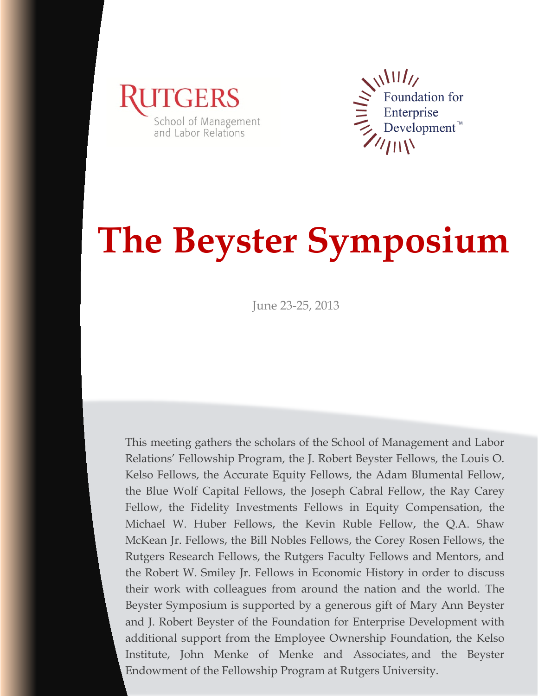



# **The Beyster Symposium**

June 23-25, 2013

0 Endowment of the Fellowship Program at Rutgers University. This meeting gathers the scholars of the School of Management and Labor Relations' Fellowship Program, the J. Robert Beyster Fellows, the Louis O. Kelso Fellows, the Accurate Equity Fellows, the Adam Blumental Fellow, the Blue Wolf Capital Fellows, the Joseph Cabral Fellow, the Ray Carey Fellow, the Fidelity Investments Fellows in Equity Compensation, the Michael W. Huber Fellows, the Kevin Ruble Fellow, the Q.A. Shaw McKean Jr. Fellows, the Bill Nobles Fellows, the Corey Rosen Fellows, the Rutgers Research Fellows, the Rutgers Faculty Fellows and Mentors, and the Robert W. Smiley Jr. Fellows in Economic History in order to discuss their work with colleagues from around the nation and the world. The Beyster Symposium is supported by a generous gift of Mary Ann Beyster and J. Robert Beyster of the Foundation for Enterprise Development with additional support from the Employee Ownership Foundation, the Kelso Institute, John Menke of Menke and Associates, and the Beyster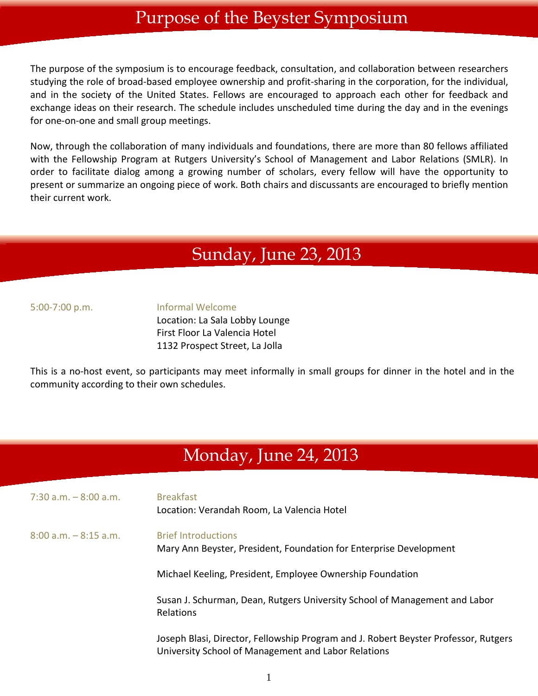### Purpose of the Beyster Symposium

The purpose of the symposium is to encourage feedback, consultation, and collaboration between researchers studying the role of broad-based employee ownership and profit-sharing in the corporation, for the individual, and in the society of the United States. Fellows are encouraged to approach each other for feedback and exchange ideas on their research. The schedule includes unscheduled time during the day and in the evenings for one-on-one and small group meetings.

Now, through the collaboration of many individuals and foundations, there are more than 80 fellows affiliated with the Fellowship Program at Rutgers University's School of Management and Labor Relations (SMLR). In order to facilitate dialog among a growing number of scholars, every fellow will have the opportunity to present or summarize an ongoing piece of work. Both chairs and discussants are encouraged to briefly mention their current work.

### Sunday, June 23, 2013

5:00-7:00 p.m. Informal Welcome

Location: La Sala Lobby Lounge First Floor La Valencia Hotel 1132 Prospect Street, La Jolla

This is a no-host event, so participants may meet informally in small groups for dinner in the hotel and in the community according to their own schedules.

# Monday, June 24, 2013

| $7:30$ a.m. $-8:00$ a.m. | <b>Breakfast</b><br>Location: Verandah Room, La Valencia Hotel                                                                             |
|--------------------------|--------------------------------------------------------------------------------------------------------------------------------------------|
| $8:00$ a.m. $-8:15$ a.m. | <b>Brief Introductions</b><br>Mary Ann Beyster, President, Foundation for Enterprise Development                                           |
|                          | Michael Keeling, President, Employee Ownership Foundation                                                                                  |
|                          | Susan J. Schurman, Dean, Rutgers University School of Management and Labor<br>Relations                                                    |
|                          | Joseph Blasi, Director, Fellowship Program and J. Robert Beyster Professor, Rutgers<br>University School of Management and Labor Relations |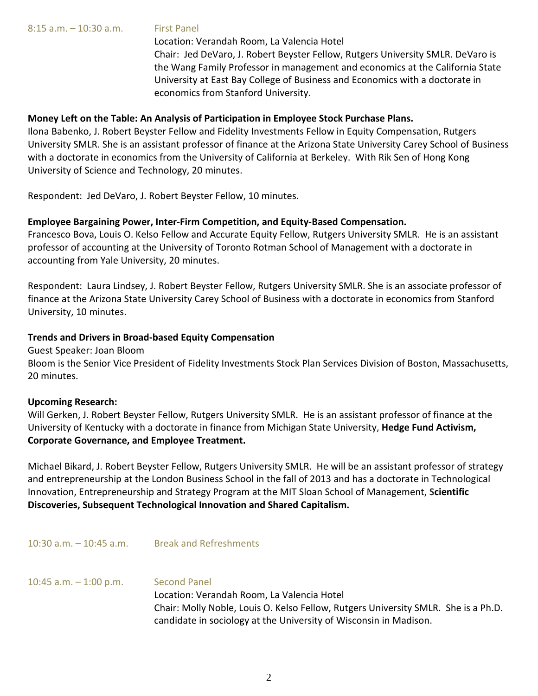Location: Verandah Room, La Valencia Hotel Chair: Jed DeVaro, J. Robert Beyster Fellow, Rutgers University SMLR. DeVaro is the Wang Family Professor in management and economics at the California State University at East Bay College of Business and Economics with a doctorate in economics from Stanford University.

#### **Money Left on the Table: An Analysis of Participation in Employee Stock Purchase Plans.**

Ilona Babenko, J. Robert Beyster Fellow and Fidelity Investments Fellow in Equity Compensation, Rutgers University SMLR. She is an assistant professor of finance at the Arizona State University Carey School of Business with a doctorate in economics from the University of California at Berkeley. With Rik Sen of Hong Kong University of Science and Technology, 20 minutes.

Respondent: Jed DeVaro, J. Robert Beyster Fellow, 10 minutes.

#### **Employee Bargaining Power, Inter-Firm Competition, and Equity-Based Compensation.**

Francesco Bova, Louis O. Kelso Fellow and Accurate Equity Fellow, Rutgers University SMLR. He is an assistant professor of accounting at the University of Toronto Rotman School of Management with a doctorate in accounting from Yale University, 20 minutes.

Respondent: Laura Lindsey, J. Robert Beyster Fellow, Rutgers University SMLR. She is an associate professor of finance at the Arizona State University Carey School of Business with a doctorate in economics from Stanford University, 10 minutes.

#### **Trends and Drivers in Broad-based Equity Compensation**

10:30 a.m. – 10:45 a.m. Break and Refreshments

Guest Speaker: Joan Bloom

Bloom is the Senior Vice President of Fidelity Investments Stock Plan Services Division of Boston, Massachusetts, 20 minutes.

#### **Upcoming Research:**

Will Gerken, J. Robert Beyster Fellow, Rutgers University SMLR. He is an assistant professor of finance at the University of Kentucky with a doctorate in finance from Michigan State University, **Hedge Fund Activism, Corporate Governance, and Employee Treatment.**

Michael Bikard, J. Robert Beyster Fellow, Rutgers University SMLR. He will be an assistant professor of strategy and entrepreneurship at the London Business School in the fall of 2013 and has a doctorate in Technological Innovation, Entrepreneurship and Strategy Program at the MIT Sloan School of Management, **Scientific Discoveries, Subsequent Technological Innovation and Shared Capitalism.**

10:45 a.m. – 1:00 p.m. Second Panel Location: Verandah Room, La Valencia Hotel Chair: Molly Noble, Louis O. Kelso Fellow, Rutgers University SMLR. She is a Ph.D. candidate in sociology at the University of Wisconsin in Madison.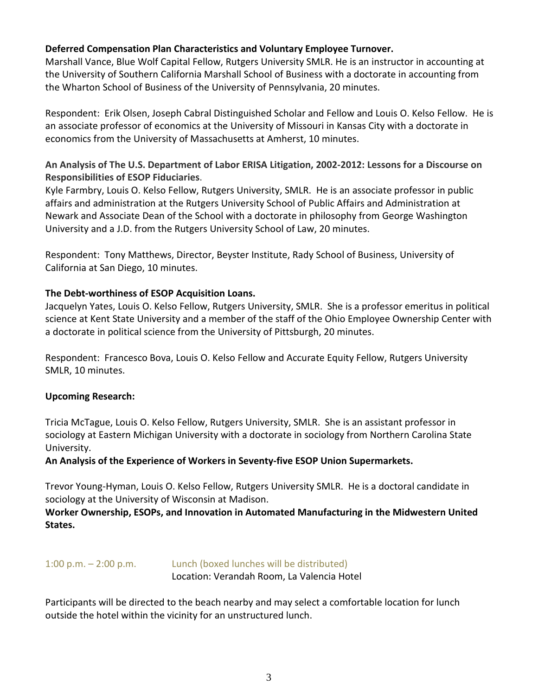#### **Deferred Compensation Plan Characteristics and Voluntary Employee Turnover.**

Marshall Vance, Blue Wolf Capital Fellow, Rutgers University SMLR. He is an instructor in accounting at the University of Southern California Marshall School of Business with a doctorate in accounting from the Wharton School of Business of the University of Pennsylvania, 20 minutes.

Respondent: Erik Olsen, Joseph Cabral Distinguished Scholar and Fellow and Louis O. Kelso Fellow. He is an associate professor of economics at the University of Missouri in Kansas City with a doctorate in economics from the University of Massachusetts at Amherst, 10 minutes.

#### **An Analysis of The U.S. Department of Labor ERISA Litigation, 2002-2012: Lessons for a Discourse on Responsibilities of ESOP Fiduciaries**.

Kyle Farmbry, Louis O. Kelso Fellow, Rutgers University, SMLR. He is an associate professor in public affairs and administration at the Rutgers University School of Public Affairs and Administration at Newark and Associate Dean of the School with a doctorate in philosophy from George Washington University and a J.D. from the Rutgers University School of Law, 20 minutes.

Respondent: Tony Matthews, Director, Beyster Institute, Rady School of Business, University of California at San Diego, 10 minutes.

#### **The Debt-worthiness of ESOP Acquisition Loans.**

Jacquelyn Yates, Louis O. Kelso Fellow, Rutgers University, SMLR. She is a professor emeritus in political science at Kent State University and a member of the staff of the Ohio Employee Ownership Center with a doctorate in political science from the University of Pittsburgh, 20 minutes.

Respondent: Francesco Bova, Louis O. Kelso Fellow and Accurate Equity Fellow, Rutgers University SMLR, 10 minutes.

#### **Upcoming Research:**

Tricia McTague, Louis O. Kelso Fellow, Rutgers University, SMLR. She is an assistant professor in sociology at Eastern Michigan University with a doctorate in sociology from Northern Carolina State University.

#### **An Analysis of the Experience of Workers in Seventy-five ESOP Union Supermarkets.**

Trevor Young-Hyman, Louis O. Kelso Fellow, Rutgers University SMLR. He is a doctoral candidate in sociology at the University of Wisconsin at Madison.

#### **Worker Ownership, ESOPs, and Innovation in Automated Manufacturing in the Midwestern United States.**

#### 1:00 p.m. – 2:00 p.m. Lunch (boxed lunches will be distributed) Location: Verandah Room, La Valencia Hotel

Participants will be directed to the beach nearby and may select a comfortable location for lunch outside the hotel within the vicinity for an unstructured lunch.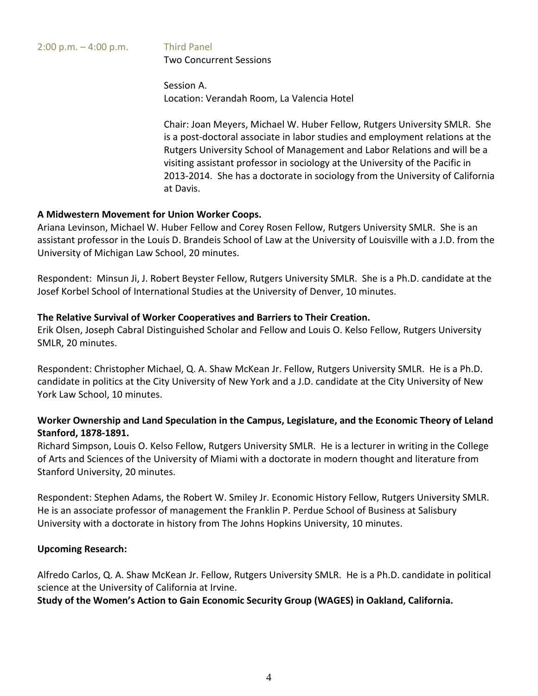#### 2:00 p.m. – 4:00 p.m. Third Panel Two Concurrent Sessions

Session A. Location: Verandah Room, La Valencia Hotel

Chair: Joan Meyers, Michael W. Huber Fellow, Rutgers University SMLR. She is a post-doctoral associate in labor studies and employment relations at the Rutgers University School of Management and Labor Relations and will be a visiting assistant professor in sociology at the University of the Pacific in 2013-2014. She has a doctorate in sociology from the University of California at Davis.

#### **A Midwestern Movement for Union Worker Coops.**

Ariana Levinson, Michael W. Huber Fellow and Corey Rosen Fellow, Rutgers University SMLR. She is an assistant professor in the Louis D. Brandeis School of Law at the University of Louisville with a J.D. from the University of Michigan Law School, 20 minutes.

Respondent: Minsun Ji, J. Robert Beyster Fellow, Rutgers University SMLR. She is a Ph.D. candidate at the Josef Korbel School of International Studies at the University of Denver, 10 minutes.

#### **The Relative Survival of Worker Cooperatives and Barriers to Their Creation.**

Erik Olsen, Joseph Cabral Distinguished Scholar and Fellow and Louis O. Kelso Fellow, Rutgers University SMLR, 20 minutes.

Respondent: Christopher Michael, Q. A. Shaw McKean Jr. Fellow, Rutgers University SMLR. He is a Ph.D. candidate in politics at the City University of New York and a J.D. candidate at the City University of New York Law School, 10 minutes.

#### **Worker Ownership and Land Speculation in the Campus, Legislature, and the Economic Theory of Leland Stanford, 1878-1891.**

Richard Simpson, Louis O. Kelso Fellow, Rutgers University SMLR. He is a lecturer in writing in the College of Arts and Sciences of the University of Miami with a doctorate in modern thought and literature from Stanford University, 20 minutes.

Respondent: Stephen Adams, the Robert W. Smiley Jr. Economic History Fellow, Rutgers University SMLR. He is an associate professor of management the Franklin P. Perdue School of Business at Salisbury University with a doctorate in history from The Johns Hopkins University, 10 minutes.

#### **Upcoming Research:**

Alfredo Carlos, Q. A. Shaw McKean Jr. Fellow, Rutgers University SMLR. He is a Ph.D. candidate in political science at the University of California at Irvine.

**Study of the Women's Action to Gain Economic Security Group (WAGES) in Oakland, California.**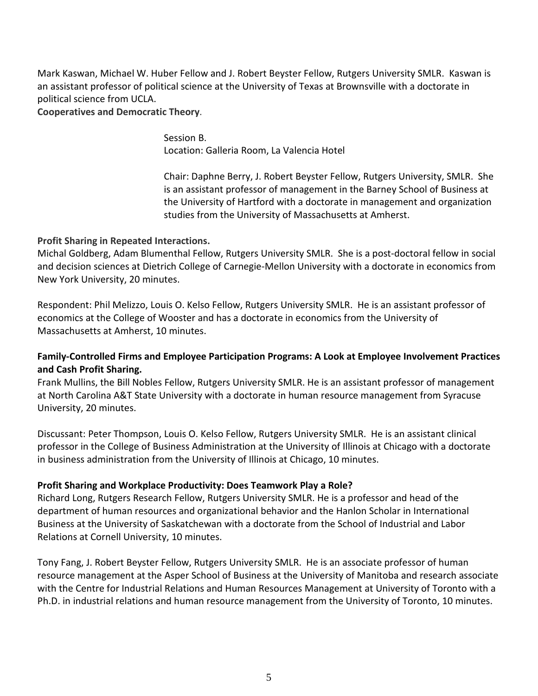Mark Kaswan, Michael W. Huber Fellow and J. Robert Beyster Fellow, Rutgers University SMLR. Kaswan is an assistant professor of political science at the University of Texas at Brownsville with a doctorate in political science from UCLA.

#### **Cooperatives and Democratic Theory**.

Session B. Location: Galleria Room, La Valencia Hotel

Chair: Daphne Berry, J. Robert Beyster Fellow, Rutgers University, SMLR. She is an assistant professor of management in the Barney School of Business at the University of Hartford with a doctorate in management and organization studies from the University of Massachusetts at Amherst.

#### **Profit Sharing in Repeated Interactions.**

Michal Goldberg, Adam Blumenthal Fellow, Rutgers University SMLR. She is a post-doctoral fellow in social and decision sciences at Dietrich College of Carnegie-Mellon University with a doctorate in economics from New York University, 20 minutes.

Respondent: Phil Melizzo, Louis O. Kelso Fellow, Rutgers University SMLR. He is an assistant professor of economics at the College of Wooster and has a doctorate in economics from the University of Massachusetts at Amherst, 10 minutes.

#### **Family-Controlled Firms and Employee Participation Programs: A Look at Employee Involvement Practices and Cash Profit Sharing.**

Frank Mullins, the Bill Nobles Fellow, Rutgers University SMLR. He is an assistant professor of management at North Carolina A&T State University with a doctorate in human resource management from Syracuse University, 20 minutes.

Discussant: Peter Thompson, Louis O. Kelso Fellow, Rutgers University SMLR. He is an assistant clinical professor in the College of Business Administration at the University of Illinois at Chicago with a doctorate in business administration from the University of Illinois at Chicago, 10 minutes.

#### **Profit Sharing and Workplace Productivity: Does Teamwork Play a Role?**

Richard Long, Rutgers Research Fellow, Rutgers University SMLR. He is a professor and head of the department of human resources and organizational behavior and the Hanlon Scholar in International Business at the University of Saskatchewan with a doctorate from the School of Industrial and Labor Relations at Cornell University, 10 minutes.

Tony Fang, J. Robert Beyster Fellow, Rutgers University SMLR. He is an associate professor of human resource management at the Asper School of Business at the University of Manitoba and research associate with the Centre for Industrial Relations and Human Resources Management at University of Toronto with a Ph.D. in industrial relations and human resource management from the University of Toronto, 10 minutes.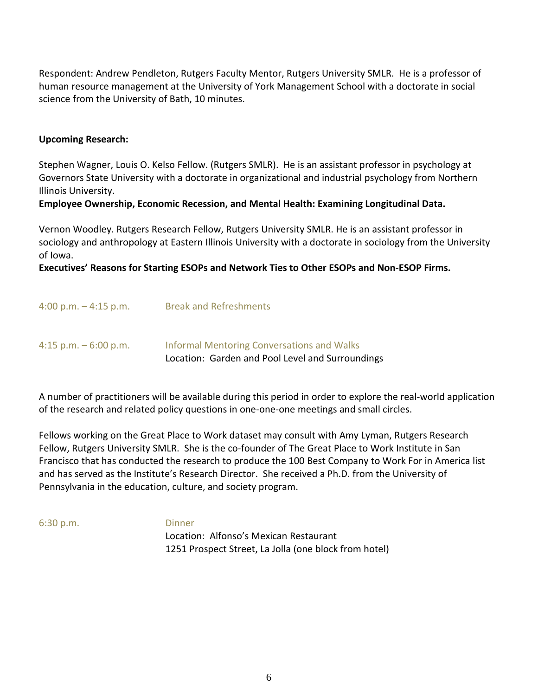Respondent: Andrew Pendleton, Rutgers Faculty Mentor, Rutgers University SMLR. He is a professor of human resource management at the University of York Management School with a doctorate in social science from the University of Bath, 10 minutes.

#### **Upcoming Research:**

Stephen Wagner, Louis O. Kelso Fellow. (Rutgers SMLR). He is an assistant professor in psychology at Governors State University with a doctorate in organizational and industrial psychology from Northern Illinois University.

#### **Employee Ownership, Economic Recession, and Mental Health: Examining Longitudinal Data.**

Vernon Woodley. Rutgers Research Fellow, Rutgers University SMLR. He is an assistant professor in sociology and anthropology at Eastern Illinois University with a doctorate in sociology from the University of Iowa.

#### **Executives' Reasons for Starting ESOPs and Network Ties to Other ESOPs and Non-ESOP Firms.**

| 4:15 p.m. $-6:00$ p.m.  | Informal Mentoring Conversations and Walks<br>Location: Garden and Pool Level and Surroundings |
|-------------------------|------------------------------------------------------------------------------------------------|
| 4:00 p.m. $-$ 4:15 p.m. | <b>Break and Refreshments</b>                                                                  |

A number of practitioners will be available during this period in order to explore the real-world application of the research and related policy questions in one-one-one meetings and small circles.

Fellows working on the Great Place to Work dataset may consult with Amy Lyman, Rutgers Research Fellow, Rutgers University SMLR. She is the co-founder of The Great Place to Work Institute in San Francisco that has conducted the research to produce the 100 Best Company to Work For in America list and has served as the Institute's Research Director. She received a Ph.D. from the University of Pennsylvania in the education, culture, and society program.

6:30 p.m. Dinner

Location: Alfonso's Mexican Restaurant 1251 Prospect Street, La Jolla (one block from hotel)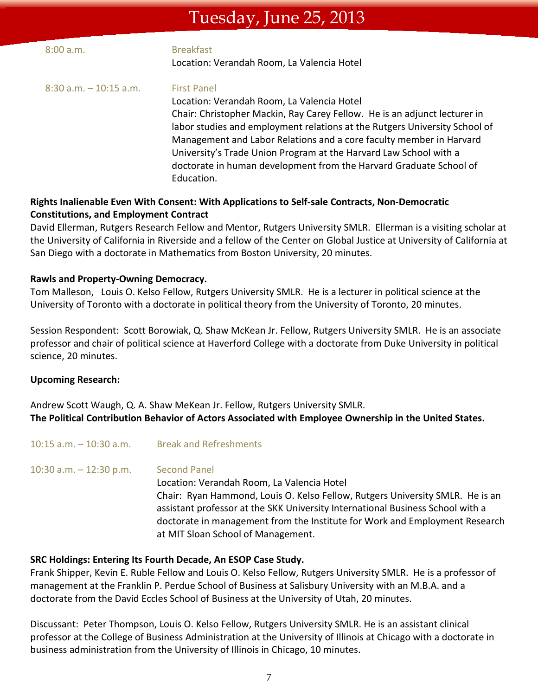### Tuesday, June 25, 2013

| Location: Verandah Room, La Valencia Hotel                                                                                                                                                                                                                                                                                                                                                                                                                                               |  |
|------------------------------------------------------------------------------------------------------------------------------------------------------------------------------------------------------------------------------------------------------------------------------------------------------------------------------------------------------------------------------------------------------------------------------------------------------------------------------------------|--|
| <b>First Panel</b><br>$8:30$ a.m. $-10:15$ a.m.<br>Location: Verandah Room, La Valencia Hotel<br>Chair: Christopher Mackin, Ray Carey Fellow. He is an adjunct lecturer in<br>labor studies and employment relations at the Rutgers University School of<br>Management and Labor Relations and a core faculty member in Harvard<br>University's Trade Union Program at the Harvard Law School with a<br>doctorate in human development from the Harvard Graduate School of<br>Education. |  |

#### **Rights Inalienable Even With Consent: With Applications to Self-sale Contracts, Non-Democratic Constitutions, and Employment Contract**

David Ellerman, Rutgers Research Fellow and Mentor, Rutgers University SMLR. Ellerman is a visiting scholar at the University of California in Riverside and a fellow of the Center on Global Justice at University of California at San Diego with a doctorate in Mathematics from Boston University, 20 minutes.

#### **Rawls and Property-Owning Democracy.**

Tom Malleson, Louis O. Kelso Fellow, Rutgers University SMLR. He is a lecturer in political science at the University of Toronto with a doctorate in political theory from the University of Toronto, 20 minutes.

Session Respondent: Scott Borowiak, Q. Shaw McKean Jr. Fellow, Rutgers University SMLR. He is an associate professor and chair of political science at Haverford College with a doctorate from Duke University in political science, 20 minutes.

#### **Upcoming Research:**

Andrew Scott Waugh, Q. A. Shaw MeKean Jr. Fellow, Rutgers University SMLR. **The Political Contribution Behavior of Actors Associated with Employee Ownership in the United States.**

| $10:15$ a.m. $-10:30$ a.m. | <b>Break and Refreshments</b>                                                                                                                                                                                                                                                                                                                             |
|----------------------------|-----------------------------------------------------------------------------------------------------------------------------------------------------------------------------------------------------------------------------------------------------------------------------------------------------------------------------------------------------------|
| 10:30 a.m. $-$ 12:30 p.m.  | <b>Second Panel</b><br>Location: Verandah Room, La Valencia Hotel<br>Chair: Ryan Hammond, Louis O. Kelso Fellow, Rutgers University SMLR. He is an<br>assistant professor at the SKK University International Business School with a<br>doctorate in management from the Institute for Work and Employment Research<br>at MIT Sloan School of Management. |

#### **SRC Holdings: Entering Its Fourth Decade, An ESOP Case Study.**

Frank Shipper, Kevin E. Ruble Fellow and Louis O. Kelso Fellow, Rutgers University SMLR. He is a professor of management at the Franklin P. Perdue School of Business at Salisbury University with an M.B.A. and a doctorate from the David Eccles School of Business at the University of Utah, 20 minutes.

Discussant: Peter Thompson, Louis O. Kelso Fellow, Rutgers University SMLR. He is an assistant clinical professor at the College of Business Administration at the University of Illinois at Chicago with a doctorate in business administration from the University of Illinois in Chicago, 10 minutes.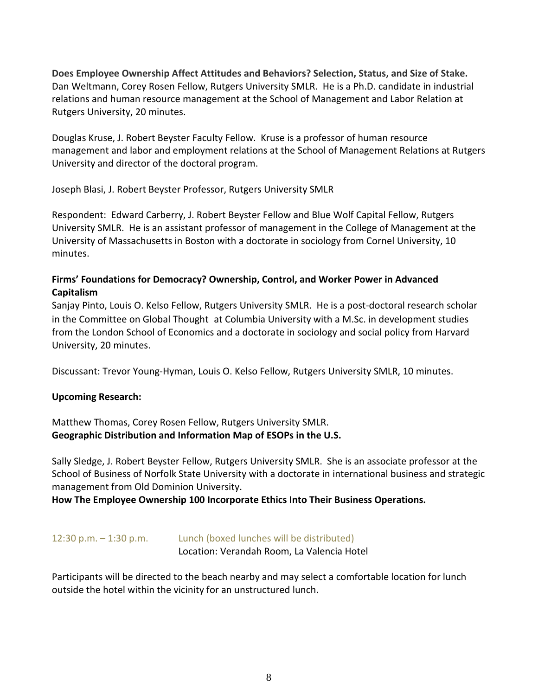**Does Employee Ownership Affect Attitudes and Behaviors? Selection, Status, and Size of Stake.** Dan Weltmann, Corey Rosen Fellow, Rutgers University SMLR. He is a Ph.D. candidate in industrial relations and human resource management at the School of Management and Labor Relation at Rutgers University, 20 minutes.

Douglas Kruse, J. Robert Beyster Faculty Fellow. Kruse is a professor of human resource management and labor and employment relations at the School of Management Relations at Rutgers University and director of the doctoral program.

Joseph Blasi, J. Robert Beyster Professor, Rutgers University SMLR

Respondent: Edward Carberry, J. Robert Beyster Fellow and Blue Wolf Capital Fellow, Rutgers University SMLR. He is an assistant professor of management in the College of Management at the University of Massachusetts in Boston with a doctorate in sociology from Cornel University, 10 minutes.

#### **Firms' Foundations for Democracy? Ownership, Control, and Worker Power in Advanced Capitalism**

Sanjay Pinto, Louis O. Kelso Fellow, Rutgers University SMLR. He is a post-doctoral research scholar in the Committee on Global Thought at Columbia University with a M.Sc. in development studies from the London School of Economics and a doctorate in sociology and social policy from Harvard University, 20 minutes.

Discussant: Trevor Young-Hyman, Louis O. Kelso Fellow, Rutgers University SMLR, 10 minutes.

#### **Upcoming Research:**

Matthew Thomas, Corey Rosen Fellow, Rutgers University SMLR. **Geographic Distribution and Information Map of ESOPs in the U.S.**

Sally Sledge, J. Robert Beyster Fellow, Rutgers University SMLR. She is an associate professor at the School of Business of Norfolk State University with a doctorate in international business and strategic management from Old Dominion University.

**How The Employee Ownership 100 Incorporate Ethics Into Their Business Operations.**

12:30 p.m. – 1:30 p.m. Lunch (boxed lunches will be distributed) Location: Verandah Room, La Valencia Hotel

Participants will be directed to the beach nearby and may select a comfortable location for lunch outside the hotel within the vicinity for an unstructured lunch.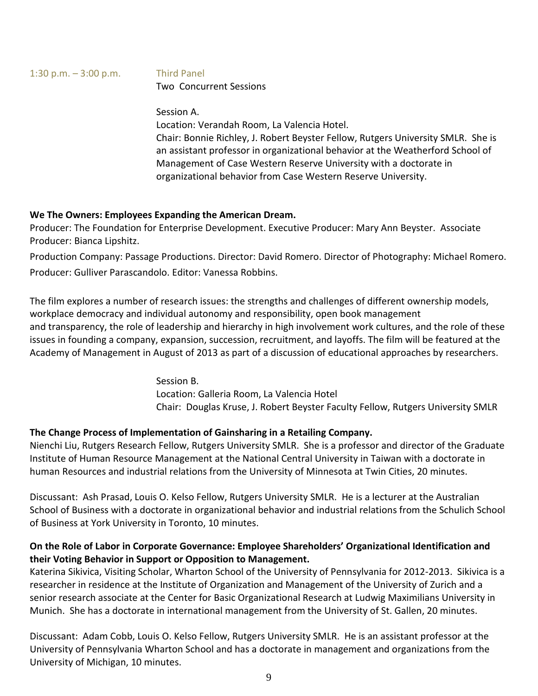#### 1:30 p.m. – 3:00 p.m. Third Panel Two Concurrent Sessions

#### Session A.

Location: Verandah Room, La Valencia Hotel. Chair: Bonnie Richley, J. Robert Beyster Fellow, Rutgers University SMLR. She is an assistant professor in organizational behavior at the Weatherford School of Management of Case Western Reserve University with a doctorate in organizational behavior from Case Western Reserve University.

#### **We The Owners: Employees Expanding the American Dream.**

Producer: The Foundation for Enterprise Development. Executive Producer: Mary Ann Beyster. Associate Producer: Bianca Lipshitz.

Production Company: Passage Productions. Director: David Romero. Director of Photography: Michael Romero. Producer: Gulliver Parascandolo. Editor: Vanessa Robbins.

The film explores a number of research issues: the strengths and challenges of different ownership models, workplace democracy and individual autonomy and responsibility, open book management and transparency, the role of leadership and hierarchy in high involvement work cultures, and the role of these issues in founding a company, expansion, succession, recruitment, and layoffs. The film will be featured at the Academy of Management in August of 2013 as part of a discussion of educational approaches by researchers.

> Session B. Location: Galleria Room, La Valencia Hotel Chair: Douglas Kruse, J. Robert Beyster Faculty Fellow, Rutgers University SMLR

#### **The Change Process of Implementation of Gainsharing in a Retailing Company.**

Nienchi Liu, Rutgers Research Fellow, Rutgers University SMLR. She is a professor and director of the Graduate Institute of Human Resource Management at the National Central University in Taiwan with a doctorate in human Resources and industrial relations from the University of Minnesota at Twin Cities, 20 minutes.

Discussant: Ash Prasad, Louis O. Kelso Fellow, Rutgers University SMLR. He is a lecturer at the Australian School of Business with a doctorate in organizational behavior and industrial relations from the Schulich School of Business at York University in Toronto, 10 minutes.

#### **On the Role of Labor in Corporate Governance: Employee Shareholders' Organizational Identification and their Voting Behavior in Support or Opposition to Management.**

Katerina Sikivica, Visiting Scholar, Wharton School of the University of Pennsylvania for 2012-2013. Sikivica is a researcher in residence at the Institute of Organization and Management of the University of Zurich and a senior research associate at the Center for Basic Organizational Research at Ludwig Maximilians University in Munich. She has a doctorate in international management from the University of St. Gallen, 20 minutes.

Discussant: Adam Cobb, Louis O. Kelso Fellow, Rutgers University SMLR. He is an assistant professor at the University of Pennsylvania Wharton School and has a doctorate in management and organizations from the University of Michigan, 10 minutes.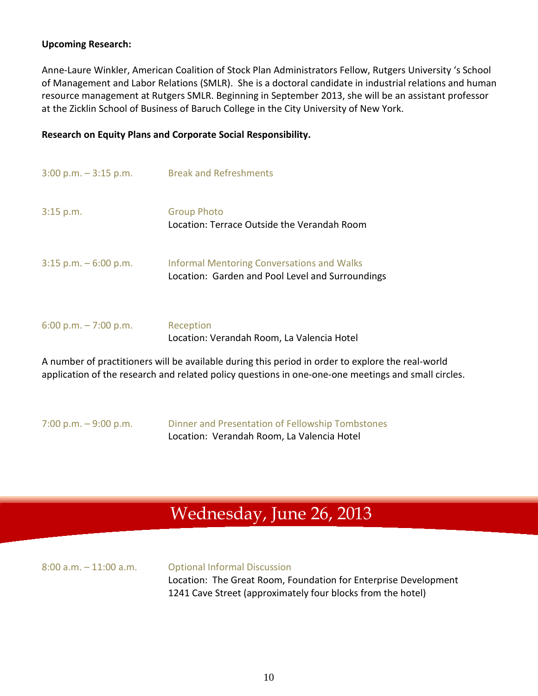#### **Upcoming Research:**

Anne-Laure Winkler, American Coalition of Stock Plan Administrators Fellow, Rutgers University 's School of Management and Labor Relations (SMLR). She is a doctoral candidate in industrial relations and human resource management at Rutgers SMLR. Beginning in September 2013, she will be an assistant professor at the Zicklin School of Business of Baruch College in the City University of New York.

#### **Research on Equity Plans and Corporate Social Responsibility.**

| $3:00$ p.m. $-3:15$ p.m. | <b>Break and Refreshments</b>                                                                         |
|--------------------------|-------------------------------------------------------------------------------------------------------|
| $3:15$ p.m.              | <b>Group Photo</b><br>Location: Terrace Outside the Verandah Room                                     |
| $3:15$ p.m. $-6:00$ p.m. | <b>Informal Mentoring Conversations and Walks</b><br>Location: Garden and Pool Level and Surroundings |
| 6:00 p.m. $-7:00$ p.m.   | Reception<br>Location: Verandah Room, La Valencia Hotel                                               |

A number of practitioners will be available during this period in order to explore the real-world application of the research and related policy questions in one-one-one meetings and small circles.

7:00 p.m. – 9:00 p.m. Dinner and Presentation of Fellowship Tombstones Location: Verandah Room, La Valencia Hotel

## Wednesday, June 26, 2013

| $8:00$ a.m. $-11:00$ a.m. | <b>Optional Informal Discussion</b>                             |
|---------------------------|-----------------------------------------------------------------|
|                           | Location: The Great Room, Foundation for Enterprise Development |
|                           | 1241 Cave Street (approximately four blocks from the hotel)     |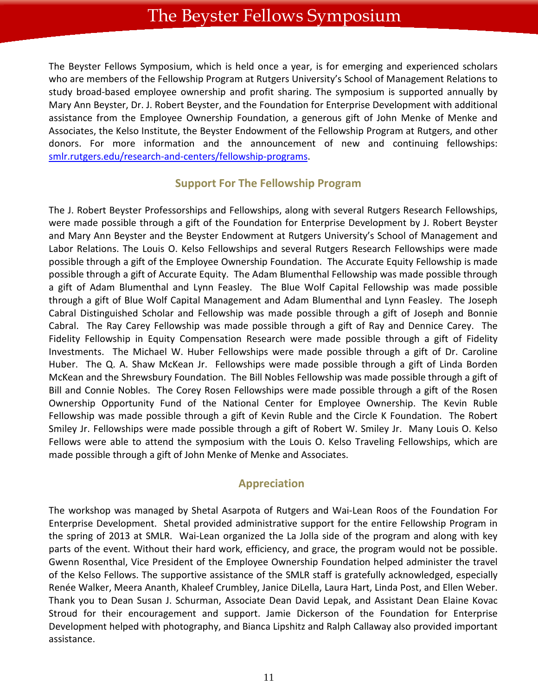The Beyster Fellows Symposium, which is held once a year, is for emerging and experienced scholars who are members of the Fellowship Program at Rutgers University's School of Management Relations to study broad-based employee ownership and profit sharing. The symposium is supported annually by Mary Ann Beyster, Dr. J. Robert Beyster, and the Foundation for Enterprise Development with additional assistance from the Employee Ownership Foundation, a generous gift of John Menke of Menke and Associates, the Kelso Institute, the Beyster Endowment of the Fellowship Program at Rutgers, and other donors. For more information and the announcement of new and continuing fellowships: [smlr.rutgers.edu/research-and-centers/fellowship-programs.](http://smlr.rutgers.edu/research-and-centers/fellowship-programs)

#### **Support For The Fellowship Program**

The J. Robert Beyster Professorships and Fellowships, along with several Rutgers Research Fellowships, were made possible through a gift of the Foundation for Enterprise Development by J. Robert Beyster and Mary Ann Beyster and the Beyster Endowment at Rutgers University's School of Management and Labor Relations. The Louis O. Kelso Fellowships and several Rutgers Research Fellowships were made possible through a gift of the Employee Ownership Foundation. The Accurate Equity Fellowship is made possible through a gift of Accurate Equity. The Adam Blumenthal Fellowship was made possible through a gift of Adam Blumenthal and Lynn Feasley. The Blue Wolf Capital Fellowship was made possible through a gift of Blue Wolf Capital Management and Adam Blumenthal and Lynn Feasley. The Joseph Cabral Distinguished Scholar and Fellowship was made possible through a gift of Joseph and Bonnie Cabral. The Ray Carey Fellowship was made possible through a gift of Ray and Dennice Carey. The Fidelity Fellowship in Equity Compensation Research were made possible through a gift of Fidelity Investments. The Michael W. Huber Fellowships were made possible through a gift of Dr. Caroline Huber. The Q. A. Shaw McKean Jr. Fellowships were made possible through a gift of Linda Borden McKean and the Shrewsbury Foundation. The Bill Nobles Fellowship was made possible through a gift of Bill and Connie Nobles. The Corey Rosen Fellowships were made possible through a gift of the Rosen Ownership Opportunity Fund of the National Center for Employee Ownership. The Kevin Ruble Fellowship was made possible through a gift of Kevin Ruble and the Circle K Foundation. The Robert Smiley Jr. Fellowships were made possible through a gift of Robert W. Smiley Jr. Many Louis O. Kelso Fellows were able to attend the symposium with the Louis O. Kelso Traveling Fellowships, which are made possible through a gift of John Menke of Menke and Associates.

#### **Appreciation**

The workshop was managed by Shetal Asarpota of Rutgers and Wai-Lean Roos of the Foundation For Enterprise Development. Shetal provided administrative support for the entire Fellowship Program in the spring of 2013 at SMLR. Wai-Lean organized the La Jolla side of the program and along with key parts of the event. Without their hard work, efficiency, and grace, the program would not be possible. Gwenn Rosenthal, Vice President of the Employee Ownership Foundation helped administer the travel of the Kelso Fellows. The supportive assistance of the SMLR staff is gratefully acknowledged, especially Renée Walker, Meera Ananth, Khaleef Crumbley, Janice DiLella, Laura Hart, Linda Post, and Ellen Weber. Thank you to Dean Susan J. Schurman, Associate Dean David Lepak, and Assistant Dean Elaine Kovac Stroud for their encouragement and support. Jamie Dickerson of the Foundation for Enterprise Development helped with photography, and Bianca Lipshitz and Ralph Callaway also provided important assistance.